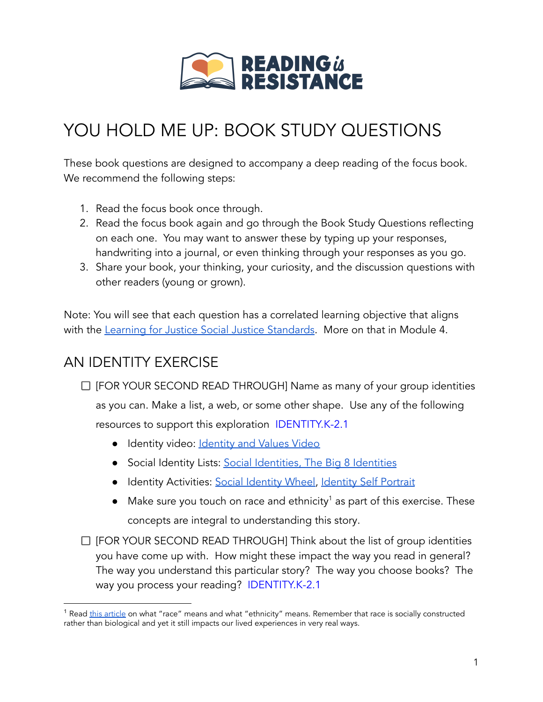

# YOU HOLD ME UP: BOOK STUDY QUESTIONS

These book questions are designed to accompany a deep reading of the focus book. We recommend the following steps:

- 1. Read the focus book once through.
- 2. Read the focus book again and go through the Book Study Questions reflecting on each one. You may want to answer these by typing up your responses, handwriting into a journal, or even thinking through your responses as you go.
- 3. Share your book, your thinking, your curiosity, and the discussion questions with other readers (young or grown).

Note: You will see that each question has a correlated learning objective that aligns with the Learning for Justice Social Justice [Standards.](https://www.learningforjustice.org/frameworks/social-justice-standards) More on that in Module 4.

## AN IDENTITY EXERCISE

- $\Box$  [FOR YOUR SECOND READ THROUGH] Name as many of your group identities as you can. Make a list, a web, or some other shape. Use any of the following resources to support this exploration IDENTITY.K-2.1
	- [Identity](https://www.youtube.com/watch?v=om3INBWfoxY) video: Identity and Values Video
	- Social Identity Lists: Social [Identities,](https://cdn.vanderbilt.edu/vu-wp0/wp-content/uploads/sites/140/2016/04/27192427/Social-Identity.pdf) The Big 8 [Identities](https://cae.appstate.edu/sites/cae.appstate.edu/files/big-8-identities.pdf)
	- **•** [Identity](https://www.tolerance.org/classroom-resources/student-tasks/do-something/identity-selfportraits) Activities: Social Identity Wheel, Identity Self Portrait
	- Make sure you touch on race and ethnicity<sup>1</sup> as part of this exercise. These concepts are integral to understanding this story.
- $\Box$  [FOR YOUR SECOND READ THROUGH] Think about the list of group identities you have come up with. How might these impact the way you read in general? The way you understand this particular story? The way you choose books? The way you process your reading? IDENTITY.K-2.1

<sup>&</sup>lt;sup>1</sup> Read this [article](https://www.parents.com/parenting/better-parenting/teaching-tolerance/how-to-explain-the-difference-between-race-and-ethnicity-to-kids/) on what "race" means and what "ethnicity" means. Remember that race is socially constructed rather than biological and yet it still impacts our lived experiences in very real ways.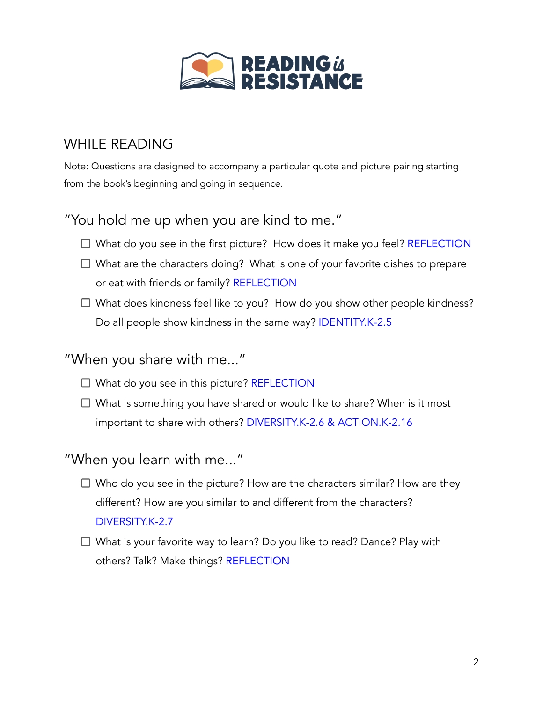

## WHILE READING

Note: Questions are designed to accompany a particular quote and picture pairing starting from the book's beginning and going in sequence.

### "You hold me up when you are kind to me."

- $\Box$  What do you see in the first picture? How does it make you feel? REFLECTION
- $\Box$  What are the characters doing? What is one of your favorite dishes to prepare or eat with friends or family? REFLECTION
- $\Box$  What does kindness feel like to you? How do you show other people kindness? Do all people show kindness in the same way? IDENTITY.K-2.5

#### "When you share with me..."

- $\Box$  What do you see in this picture? REFLECTION
- $\Box$  What is something you have shared or would like to share? When is it most important to share with others? DIVERSITY.K-2.6 & ACTION.K-2.16

#### "When you learn with me..."

- $\Box$  Who do you see in the picture? How are the characters similar? How are they different? How are you similar to and different from the characters? DIVERSITY.K-2.7
- $\Box$  What is your favorite way to learn? Do you like to read? Dance? Play with others? Talk? Make things? REFLECTION